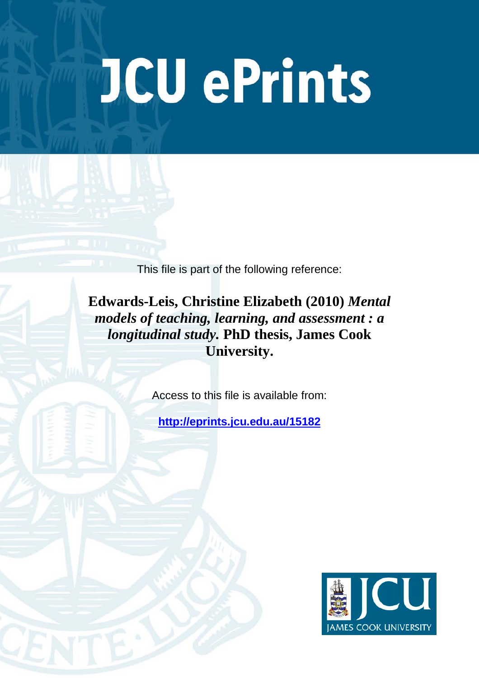# **JCU ePrints**

This file is part of the following reference:

**Edwards-Leis, Christine Elizabeth (2010)** *Mental models of teaching, learning, and assessment : a longitudinal study.* **PhD thesis, James Cook University.**

Access to this file is available from:

**<http://eprints.jcu.edu.au/15182>**

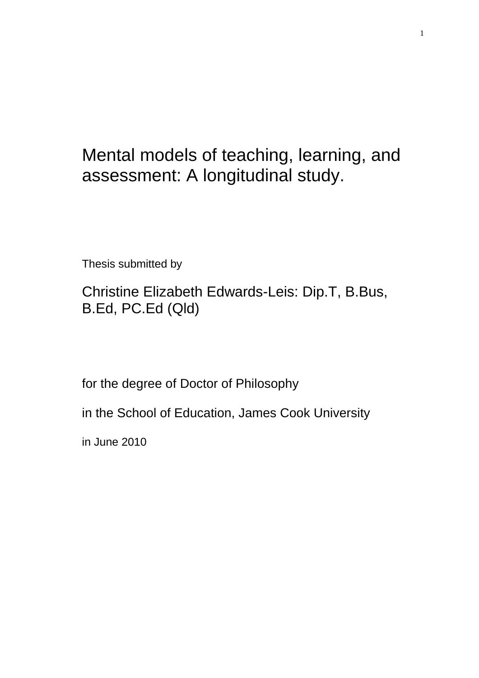# Mental models of teaching, learning, and assessment: A longitudinal study.

Thesis submitted by

Christine Elizabeth Edwards-Leis: Dip.T, B.Bus, B.Ed, PC.Ed (Qld)

for the degree of Doctor of Philosophy

in the School of Education, James Cook University

in June 2010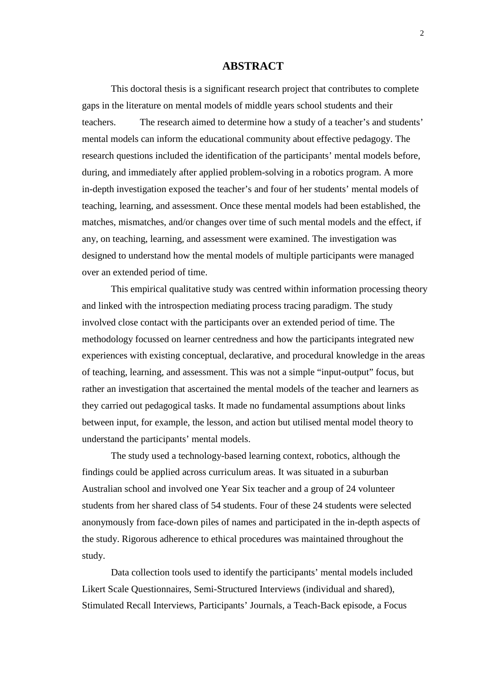### <span id="page-2-0"></span>**ABSTRACT**

This doctoral thesis is a significant research project that contributes to complete gaps in the literature on mental models of middle years school students and their teachers. The research aimed to determine how a study of a teacher's and students' mental models can inform the educational community about effective pedagogy. The research questions included the identification of the participants' mental models before, during, and immediately after applied problem-solving in a robotics program. A more in-depth investigation exposed the teacher's and four of her students' mental models of teaching, learning, and assessment. Once these mental models had been established, the matches, mismatches, and/or changes over time of such mental models and the effect, if any, on teaching, learning, and assessment were examined. The investigation was designed to understand how the mental models of multiple participants were managed over an extended period of time.

This empirical qualitative study was centred within information processing theory and linked with the introspection mediating process tracing paradigm. The study involved close contact with the participants over an extended period of time. The methodology focussed on learner centredness and how the participants integrated new experiences with existing conceptual, declarative, and procedural knowledge in the areas of teaching, learning, and assessment. This was not a simple "input-output" focus, but rather an investigation that ascertained the mental models of the teacher and learners as they carried out pedagogical tasks. It made no fundamental assumptions about links between input, for example, the lesson, and action but utilised mental model theory to understand the participants' mental models.

The study used a technology-based learning context, robotics, although the findings could be applied across curriculum areas. It was situated in a suburban Australian school and involved one Year Six teacher and a group of 24 volunteer students from her shared class of 54 students. Four of these 24 students were selected anonymously from face-down piles of names and participated in the in-depth aspects of the study. Rigorous adherence to ethical procedures was maintained throughout the study.

Data collection tools used to identify the participants' mental models included Likert Scale Questionnaires, Semi-Structured Interviews (individual and shared), Stimulated Recall Interviews, Participants' Journals, a Teach-Back episode, a Focus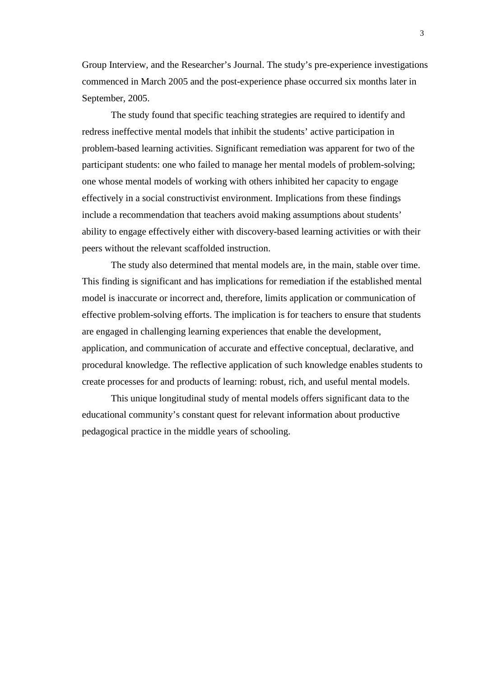Group Interview, and the Researcher's Journal. The study's pre-experience investigations commenced in March 2005 and the post-experience phase occurred six months later in September, 2005.

The study found that specific teaching strategies are required to identify and redress ineffective mental models that inhibit the students' active participation in problem-based learning activities. Significant remediation was apparent for two of the participant students: one who failed to manage her mental models of problem-solving; one whose mental models of working with others inhibited her capacity to engage effectively in a social constructivist environment. Implications from these findings include a recommendation that teachers avoid making assumptions about students' ability to engage effectively either with discovery-based learning activities or with their peers without the relevant scaffolded instruction.

The study also determined that mental models are, in the main, stable over time. This finding is significant and has implications for remediation if the established mental model is inaccurate or incorrect and, therefore, limits application or communication of effective problem-solving efforts. The implication is for teachers to ensure that students are engaged in challenging learning experiences that enable the development, application, and communication of accurate and effective conceptual, declarative, and procedural knowledge. The reflective application of such knowledge enables students to create processes for and products of learning: robust, rich, and useful mental models.

This unique longitudinal study of mental models offers significant data to the educational community's constant quest for relevant information about productive pedagogical practice in the middle years of schooling.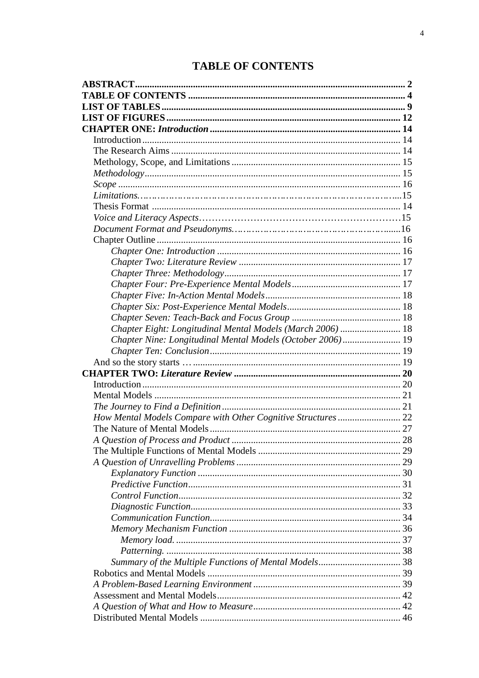# <span id="page-4-0"></span>**TABLE OF CONTENTS**

| Chapter Eight: Longitudinal Mental Models (March 2006)  18 |  |
|------------------------------------------------------------|--|
| Chapter Nine: Longitudinal Mental Models (October 2006) 19 |  |
|                                                            |  |
|                                                            |  |
|                                                            |  |
|                                                            |  |
|                                                            |  |
|                                                            |  |
|                                                            |  |
|                                                            |  |
| A Question of Process and Product                          |  |
|                                                            |  |
|                                                            |  |
|                                                            |  |
|                                                            |  |
|                                                            |  |
|                                                            |  |
|                                                            |  |
|                                                            |  |
|                                                            |  |
|                                                            |  |
|                                                            |  |
|                                                            |  |
|                                                            |  |
|                                                            |  |
|                                                            |  |
|                                                            |  |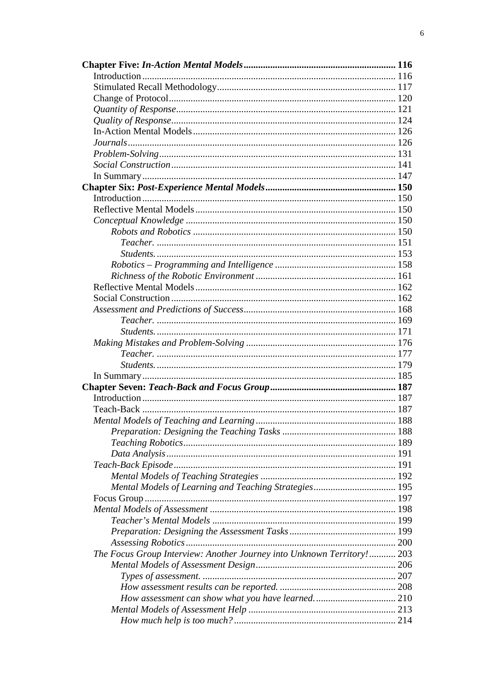| Mental Models of Learning and Teaching Strategies 195                  |  |
|------------------------------------------------------------------------|--|
|                                                                        |  |
|                                                                        |  |
|                                                                        |  |
|                                                                        |  |
|                                                                        |  |
| The Focus Group Interview: Another Journey into Unknown Territory! 203 |  |
|                                                                        |  |
|                                                                        |  |
|                                                                        |  |
|                                                                        |  |
|                                                                        |  |
|                                                                        |  |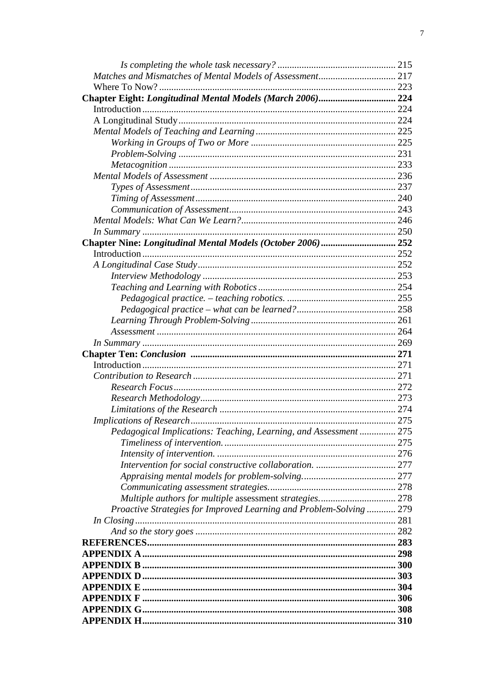| Chapter Nine: Longitudinal Mental Models (October 2006) 252         |     |
|---------------------------------------------------------------------|-----|
|                                                                     |     |
|                                                                     |     |
|                                                                     |     |
|                                                                     |     |
|                                                                     |     |
|                                                                     |     |
|                                                                     |     |
|                                                                     |     |
|                                                                     |     |
|                                                                     |     |
|                                                                     |     |
|                                                                     |     |
|                                                                     |     |
|                                                                     |     |
|                                                                     |     |
|                                                                     |     |
| <i>Implications of Research.</i>                                    | 275 |
| Pedagogical Implications: Teaching, Learning, and Assessment  275   |     |
|                                                                     |     |
|                                                                     |     |
|                                                                     |     |
|                                                                     |     |
|                                                                     |     |
| Multiple authors for multiple assessment strategies 278             |     |
| Proactive Strategies for Improved Learning and Problem-Solving  279 |     |
|                                                                     |     |
|                                                                     |     |
|                                                                     |     |
|                                                                     |     |
|                                                                     |     |
|                                                                     |     |
|                                                                     |     |
|                                                                     |     |
|                                                                     |     |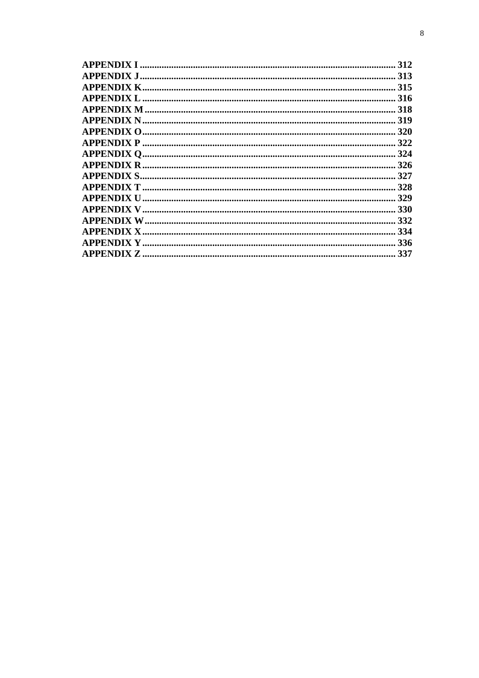|                    | 312        |
|--------------------|------------|
| <b>APPENDIX J.</b> | 313        |
| APPENDIX K.        | 315        |
|                    | . 316      |
|                    | .318       |
|                    | 319        |
|                    | 320        |
|                    | . 322      |
|                    | 324        |
|                    |            |
|                    | 327        |
|                    | 328        |
|                    | <b>329</b> |
|                    | . 330      |
|                    | 332        |
| <b>APPENDIX X.</b> | 334        |
|                    | 336        |
|                    | 337        |
|                    |            |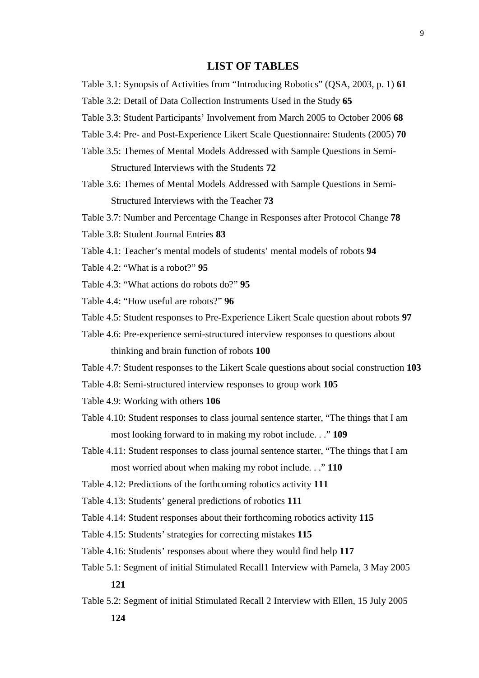# <span id="page-9-0"></span>**LIST OF TABLES**

- Table 3.1: Synopsis of Activities from "Introducing Robotics" (QSA, 2003, p. 1) **61**
- Table 3.2: Detail of Data Collection Instruments Used in the Study **65**
- Table 3.3: Student Participants' Involvement from March 2005 to October 2006 **68**
- Table 3.4: Pre- and Post-Experience Likert Scale Questionnaire: Students (2005) **70**
- Table 3.5: Themes of Mental Models Addressed with Sample Questions in Semi-Structured Interviews with the Students **72**
- Table 3.6: Themes of Mental Models Addressed with Sample Questions in Semi-Structured Interviews with the Teacher **73**
- Table 3.7: Number and Percentage Change in Responses after Protocol Change **78**
- Table 3.8: Student Journal Entries **83**
- Table 4.1: Teacher's mental models of students' mental models of robots **94**
- Table 4.2: "What is a robot?" **95**
- Table 4.3: "What actions do robots do?" **95**
- Table 4.4: "How useful are robots?" **96**
- Table 4.5: Student responses to Pre-Experience Likert Scale question about robots **97**
- Table 4.6: Pre-experience semi-structured interview responses to questions about thinking and brain function of robots **100**
- Table 4.7: Student responses to the Likert Scale questions about social construction **103**
- Table 4.8: Semi-structured interview responses to group work **105**
- Table 4.9: Working with others **106**
- Table 4.10: Student responses to class journal sentence starter, "The things that I am most looking forward to in making my robot include. . ." **109**
- Table 4.11: Student responses to class journal sentence starter, "The things that I am most worried about when making my robot include. . ." **110**
- Table 4.12: Predictions of the forthcoming robotics activity **111**
- Table 4.13: Students' general predictions of robotics **111**
- Table 4.14: Student responses about their forthcoming robotics activity **115**
- Table 4.15: Students' strategies for correcting mistakes **115**
- Table 4.16: Students' responses about where they would find help **117**
- Table 5.1: Segment of initial Stimulated Recall1 Interview with Pamela, 3 May 2005 **121**
- Table 5.2: Segment of initial Stimulated Recall 2 Interview with Ellen, 15 July 2005

9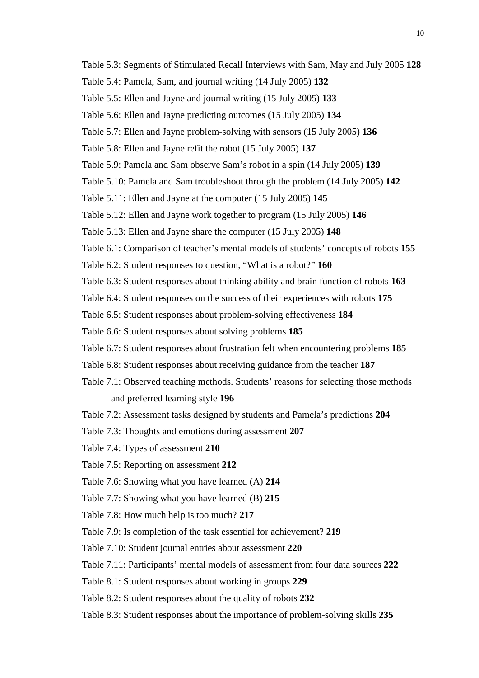- Table 5.3: Segments of Stimulated Recall Interviews with Sam, May and July 2005 **128**
- Table 5.4: Pamela, Sam, and journal writing (14 July 2005) **132**
- Table 5.5: Ellen and Jayne and journal writing (15 July 2005) **133**
- Table 5.6: Ellen and Jayne predicting outcomes (15 July 2005) **134**
- Table 5.7: Ellen and Jayne problem-solving with sensors (15 July 2005) **136**
- Table 5.8: Ellen and Jayne refit the robot (15 July 2005) **137**
- Table 5.9: Pamela and Sam observe Sam's robot in a spin (14 July 2005) **139**
- Table 5.10: Pamela and Sam troubleshoot through the problem (14 July 2005) **142**
- Table 5.11: Ellen and Jayne at the computer (15 July 2005) **145**
- Table 5.12: Ellen and Jayne work together to program (15 July 2005) **146**
- Table 5.13: Ellen and Jayne share the computer (15 July 2005) **148**
- Table 6.1: Comparison of teacher's mental models of students' concepts of robots **155**
- Table 6.2: Student responses to question, "What is a robot?" **160**
- Table 6.3: Student responses about thinking ability and brain function of robots **163**
- Table 6.4: Student responses on the success of their experiences with robots **175**
- Table 6.5: Student responses about problem-solving effectiveness **184**
- Table 6.6: Student responses about solving problems **185**
- Table 6.7: Student responses about frustration felt when encountering problems **185**
- Table 6.8: Student responses about receiving guidance from the teacher **187**
- Table 7.1: Observed teaching methods. Students' reasons for selecting those methods and preferred learning style **196**
- Table 7.2: Assessment tasks designed by students and Pamela's predictions **204**
- Table 7.3: Thoughts and emotions during assessment **207**
- Table 7.4: Types of assessment **210**
- Table 7.5: Reporting on assessment **212**
- Table 7.6: Showing what you have learned (A) **214**
- Table 7.7: Showing what you have learned (B) **215**
- Table 7.8: How much help is too much? **217**
- Table 7.9: Is completion of the task essential for achievement? **219**
- Table 7.10: Student journal entries about assessment **220**
- Table 7.11: Participants' mental models of assessment from four data sources **222**
- Table 8.1: Student responses about working in groups **229**
- Table 8.2: Student responses about the quality of robots **232**
- Table 8.3: Student responses about the importance of problem-solving skills **235**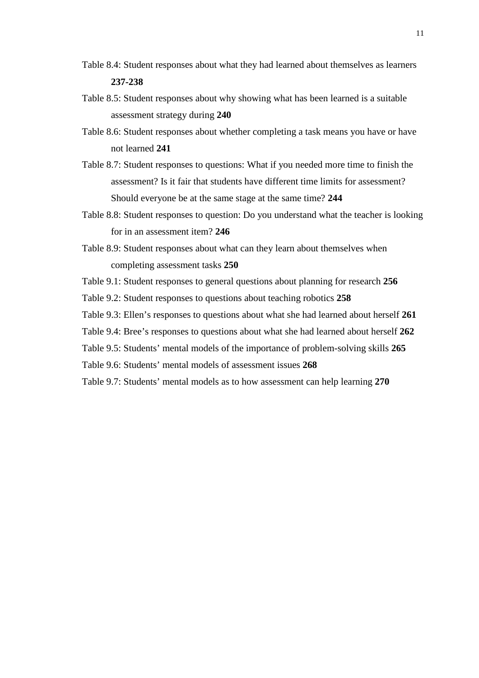- Table 8.4: Student responses about what they had learned about themselves as learners **237-238**
- Table 8.5: Student responses about why showing what has been learned is a suitable assessment strategy during **240**
- Table 8.6: Student responses about whether completing a task means you have or have not learned **241**
- Table 8.7: Student responses to questions: What if you needed more time to finish the assessment? Is it fair that students have different time limits for assessment? Should everyone be at the same stage at the same time? **244**
- Table 8.8: Student responses to question: Do you understand what the teacher is looking for in an assessment item? **246**
- Table 8.9: Student responses about what can they learn about themselves when completing assessment tasks **250**
- Table 9.1: Student responses to general questions about planning for research **256**
- Table 9.2: Student responses to questions about teaching robotics **258**
- Table 9.3: Ellen's responses to questions about what she had learned about herself **261**
- Table 9.4: Bree's responses to questions about what she had learned about herself **262**
- Table 9.5: Students' mental models of the importance of problem-solving skills **265**
- Table 9.6: Students' mental models of assessment issues **268**
- Table 9.7: Students' mental models as to how assessment can help learning **270**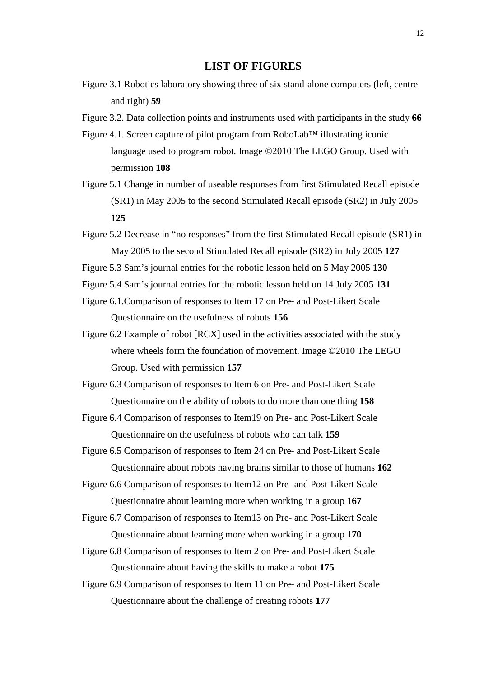# <span id="page-12-0"></span>**LIST OF FIGURES**

- Figure 3.1 Robotics laboratory showing three of six stand-alone computers (left, centre and right) **59**
- Figure 3.2. Data collection points and instruments used with participants in the study **66**
- Figure 4.1. Screen capture of pilot program from RoboLab™ illustrating iconic language used to program robot. Image ©2010 The LEGO Group. Used with permission **108**
- Figure 5.1 Change in number of useable responses from first Stimulated Recall episode (SR1) in May 2005 to the second Stimulated Recall episode (SR2) in July 2005 **125**
- Figure 5.2 Decrease in "no responses" from the first Stimulated Recall episode (SR1) in May 2005 to the second Stimulated Recall episode (SR2) in July 2005 **127**
- Figure 5.3 Sam's journal entries for the robotic lesson held on 5 May 2005 **130**

Figure 5.4 Sam's journal entries for the robotic lesson held on 14 July 2005 **131**

- Figure 6.1.Comparison of responses to Item 17 on Pre- and Post-Likert Scale Questionnaire on the usefulness of robots **156**
- Figure 6.2 Example of robot [RCX] used in the activities associated with the study where wheels form the foundation of movement. Image ©2010 The LEGO Group. Used with permission **157**

Figure 6.3 Comparison of responses to Item 6 on Pre- and Post-Likert Scale Questionnaire on the ability of robots to do more than one thing **158**

Figure 6.4 Comparison of responses to Item19 on Pre- and Post-Likert Scale Questionnaire on the usefulness of robots who can talk **159**

Figure 6.5 Comparison of responses to Item 24 on Pre- and Post-Likert Scale Questionnaire about robots having brains similar to those of humans **162**

Figure 6.6 Comparison of responses to Item12 on Pre- and Post-Likert Scale Questionnaire about learning more when working in a group **167**

- Figure 6.7 Comparison of responses to Item13 on Pre- and Post-Likert Scale Questionnaire about learning more when working in a group **170**
- Figure 6.8 Comparison of responses to Item 2 on Pre- and Post-Likert Scale Questionnaire about having the skills to make a robot **175**
- Figure 6.9 Comparison of responses to Item 11 on Pre- and Post-Likert Scale Questionnaire about the challenge of creating robots **177**